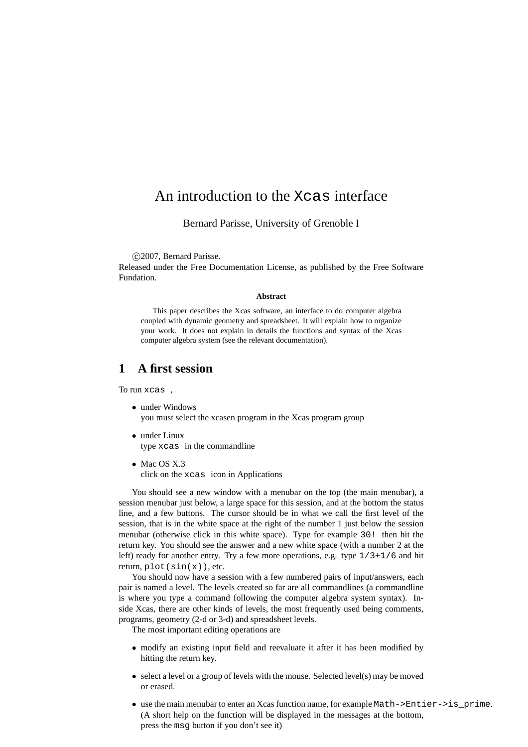# An introduction to the Xcas interface

Bernard Parisse, University of Grenoble I

c 2007, Bernard Parisse.

Released under the Free Documentation License, as published by the Free Software Fundation.

#### **Abstract**

This paper describes the Xcas software, an interface to do computer algebra coupled with dynamic geometry and spreadsheet. It will explain how to organize your work. It does not explain in details the functions and syntax of the Xcas computer algebra system (see the relevant documentation).

## **1 A first session**

To run xcas ,

- under Windows you must select the xcasen program in the Xcas program group
- under Linux type xcas in the commandline
- Mac OS X.3 click on the xcas icon in Applications

You should see a new window with a menubar on the top (the main menubar), a session menubar just below, a large space for this session, and at the bottom the status line, and a few buttons. The cursor should be in what we call the first level of the session, that is in the white space at the right of the number 1 just below the session menubar (otherwise click in this white space). Type for example 30! then hit the return key. You should see the answer and a new white space (with a number 2 at the left) ready for another entry. Try a few more operations, e.g. type 1/3+1/6 and hit return,  $plot(sin(x))$ , etc.

You should now have a session with a few numbered pairs of input/answers, each pair is named a level. The levels created so far are all commandlines (a commandline is where you type a command following the computer algebra system syntax). Inside Xcas, there are other kinds of levels, the most frequently used being comments, programs, geometry (2-d or 3-d) and spreadsheet levels.

The most important editing operations are

- modify an existing input field and reevaluate it after it has been modified by hitting the return key.
- select a level or a group of levels with the mouse. Selected level(s) may be moved or erased.
- use the main menubar to enter an Xcas function name, for example Math->Entier->is prime. (A short help on the function will be displayed in the messages at the bottom, press the msg button if you don't see it)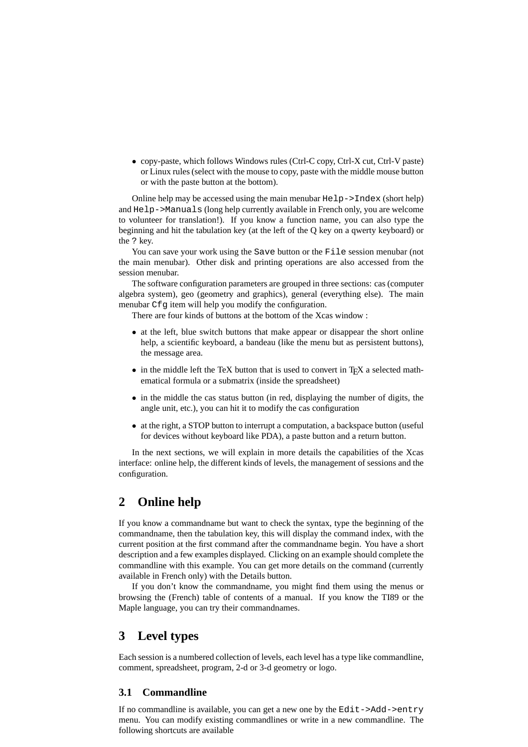• copy-paste, which follows Windows rules (Ctrl-C copy, Ctrl-X cut, Ctrl-V paste) or Linux rules (select with the mouse to copy, paste with the middle mouse button or with the paste button at the bottom).

Online help may be accessed using the main menubar Help->Index (short help) and Help->Manuals (long help currently available in French only, you are welcome to volunteer for translation!). If you know a function name, you can also type the beginning and hit the tabulation key (at the left of the Q key on a qwerty keyboard) or the ? key.

You can save your work using the Save button or the File session menubar (not the main menubar). Other disk and printing operations are also accessed from the session menubar.

The software configuration parameters are grouped in three sections: cas (computer algebra system), geo (geometry and graphics), general (everything else). The main menubar Cfg item will help you modify the configuration.

There are four kinds of buttons at the bottom of the Xcas window :

- at the left, blue switch buttons that make appear or disappear the short online help, a scientific keyboard, a bandeau (like the menu but as persistent buttons), the message area.
- in the middle left the TeX button that is used to convert in T<sub>E</sub>X a selected mathematical formula or a submatrix (inside the spreadsheet)
- in the middle the cas status button (in red, displaying the number of digits, the angle unit, etc.), you can hit it to modify the cas configuration
- at the right, a STOP button to interrupt a computation, a backspace button (useful for devices without keyboard like PDA), a paste button and a return button.

In the next sections, we will explain in more details the capabilities of the Xcas interface: online help, the different kinds of levels, the management of sessions and the configuration.

## **2 Online help**

If you know a commandname but want to check the syntax, type the beginning of the commandname, then the tabulation key, this will display the command index, with the current position at the first command after the commandname begin. You have a short description and a few examples displayed. Clicking on an example should complete the commandline with this example. You can get more details on the command (currently available in French only) with the Details button.

If you don't know the commandname, you might find them using the menus or browsing the (French) table of contents of a manual. If you know the TI89 or the Maple language, you can try their commandnames.

## **3 Level types**

Each session is a numbered collection of levels, each level has a type like commandline, comment, spreadsheet, program, 2-d or 3-d geometry or logo.

### **3.1 Commandline**

If no commandline is available, you can get a new one by the Edit->Add->entry menu. You can modify existing commandlines or write in a new commandline. The following shortcuts are available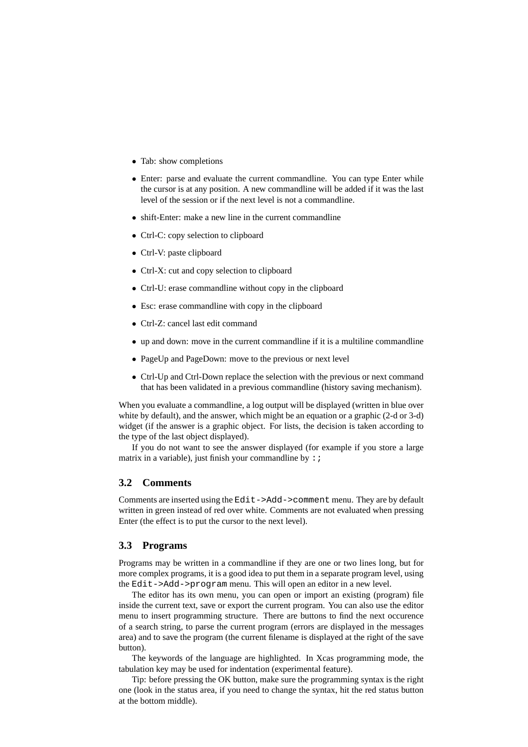- Tab: show completions
- Enter: parse and evaluate the current commandline. You can type Enter while the cursor is at any position. A new commandline will be added if it was the last level of the session or if the next level is not a commandline.
- shift-Enter: make a new line in the current commandline
- Ctrl-C: copy selection to clipboard
- Ctrl-V: paste clipboard
- Ctrl-X: cut and copy selection to clipboard
- Ctrl-U: erase commandline without copy in the clipboard
- Esc: erase commandline with copy in the clipboard
- Ctrl-Z: cancel last edit command
- up and down: move in the current commandline if it is a multiline commandline
- PageUp and PageDown: move to the previous or next level
- Ctrl-Up and Ctrl-Down replace the selection with the previous or next command that has been validated in a previous commandline (history saving mechanism).

When you evaluate a commandline, a log output will be displayed (written in blue over white by default), and the answer, which might be an equation or a graphic (2-d or 3-d) widget (if the answer is a graphic object. For lists, the decision is taken according to the type of the last object displayed).

If you do not want to see the answer displayed (for example if you store a large matrix in a variable), just finish your commandline by  $\cdot$  ;

### **3.2 Comments**

Comments are inserted using the Edit->Add->comment menu. They are by default written in green instead of red over white. Comments are not evaluated when pressing Enter (the effect is to put the cursor to the next level).

### **3.3 Programs**

Programs may be written in a commandline if they are one or two lines long, but for more complex programs, it is a good idea to put them in a separate program level, using the Edit->Add->program menu. This will open an editor in a new level.

The editor has its own menu, you can open or import an existing (program) file inside the current text, save or export the current program. You can also use the editor menu to insert programming structure. There are buttons to find the next occurence of a search string, to parse the current program (errors are displayed in the messages area) and to save the program (the current filename is displayed at the right of the save button).

The keywords of the language are highlighted. In Xcas programming mode, the tabulation key may be used for indentation (experimental feature).

Tip: before pressing the OK button, make sure the programming syntax is the right one (look in the status area, if you need to change the syntax, hit the red status button at the bottom middle).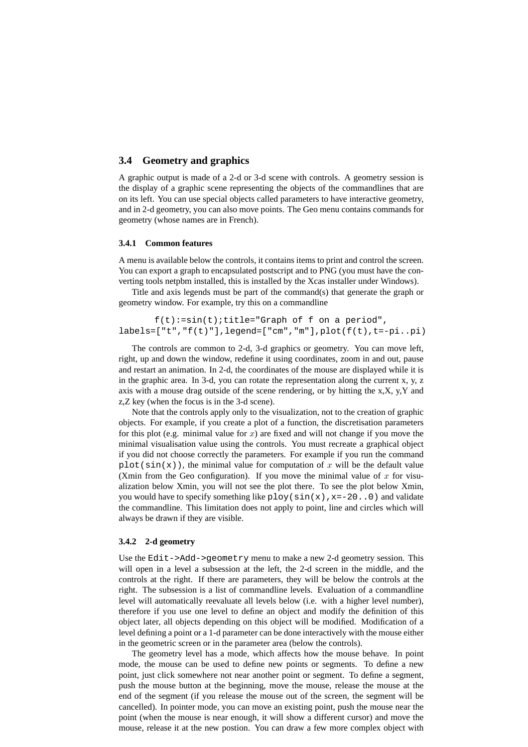## **3.4 Geometry and graphics**

A graphic output is made of a 2-d or 3-d scene with controls. A geometry session is the display of a graphic scene representing the objects of the commandlines that are on its left. You can use special objects called parameters to have interactive geometry, and in 2-d geometry, you can also move points. The Geo menu contains commands for geometry (whose names are in French).

#### **3.4.1 Common features**

A menu is available below the controls, it contains items to print and control the screen. You can export a graph to encapsulated postscript and to PNG (you must have the converting tools netpbm installed, this is installed by the Xcas installer under Windows).

Title and axis legends must be part of the command(s) that generate the graph or geometry window. For example, try this on a commandline

 $f(t)$ :=sin(t);title="Graph of f on a period", labels=["t","f(t)"],legend=["cm","m"],plot(f(t),t=-pi..pi)

The controls are common to 2-d, 3-d graphics or geometry. You can move left, right, up and down the window, redefine it using coordinates, zoom in and out, pause and restart an animation. In 2-d, the coordinates of the mouse are displayed while it is in the graphic area. In 3-d, you can rotate the representation along the current x, y, z axis with a mouse drag outside of the scene rendering, or by hitting the x,X, y,Y and z,Z key (when the focus is in the 3-d scene).

Note that the controls apply only to the visualization, not to the creation of graphic objects. For example, if you create a plot of a function, the discretisation parameters for this plot (e.g. minimal value for x) are fixed and will not change if you move the minimal visualisation value using the controls. You must recreate a graphical object if you did not choose correctly the parameters. For example if you run the command plot(sin(x)), the minimal value for computation of x will be the default value (Xmin from the Geo configuration). If you move the minimal value of  $x$  for visualization below Xmin, you will not see the plot there. To see the plot below Xmin, you would have to specify something like  $p \log(\sin(x), x = -20..0)$  and validate the commandline. This limitation does not apply to point, line and circles which will always be drawn if they are visible.

#### **3.4.2 2-d geometry**

Use the Edit->Add->geometry menu to make a new 2-d geometry session. This will open in a level a subsession at the left, the 2-d screen in the middle, and the controls at the right. If there are parameters, they will be below the controls at the right. The subsession is a list of commandline levels. Evaluation of a commandline level will automatically reevaluate all levels below (i.e. with a higher level number), therefore if you use one level to define an object and modify the definition of this object later, all objects depending on this object will be modified. Modification of a level defining a point or a 1-d parameter can be done interactively with the mouse either in the geometric screen or in the parameter area (below the controls).

The geometry level has a mode, which affects how the mouse behave. In point mode, the mouse can be used to define new points or segments. To define a new point, just click somewhere not near another point or segment. To define a segment, push the mouse button at the beginning, move the mouse, release the mouse at the end of the segment (if you release the mouse out of the screen, the segment will be cancelled). In pointer mode, you can move an existing point, push the mouse near the point (when the mouse is near enough, it will show a different cursor) and move the mouse, release it at the new postion. You can draw a few more complex object with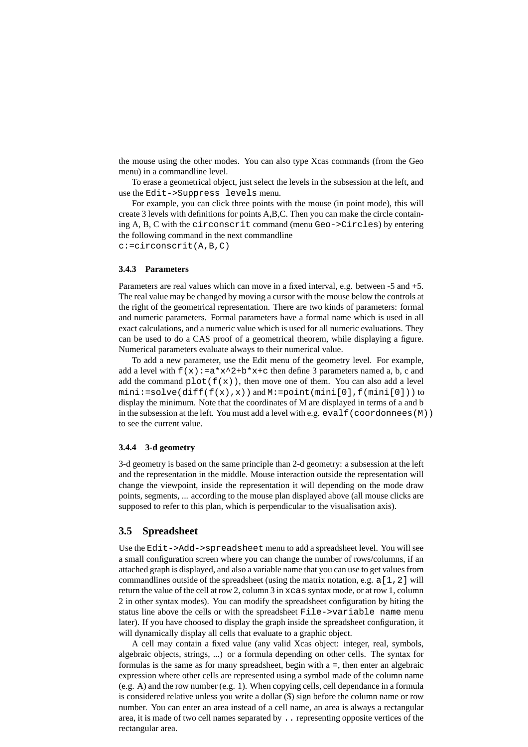the mouse using the other modes. You can also type Xcas commands (from the Geo menu) in a commandline level.

To erase a geometrical object, just select the levels in the subsession at the left, and use the Edit->Suppress levels menu.

For example, you can click three points with the mouse (in point mode), this will create 3 levels with definitions for points A,B,C. Then you can make the circle containing A, B, C with the circonscrit command (menu Geo->Circles) by entering the following command in the next commandline c:=circonscrit(A,B,C)

### **3.4.3 Parameters**

Parameters are real values which can move in a fixed interval, e.g. between -5 and +5. The real value may be changed by moving a cursor with the mouse below the controls at the right of the geometrical representation. There are two kinds of parameters: formal and numeric parameters. Formal parameters have a formal name which is used in all exact calculations, and a numeric value which is used for all numeric evaluations. They can be used to do a CAS proof of a geometrical theorem, while displaying a figure. Numerical parameters evaluate always to their numerical value.

To add a new parameter, use the Edit menu of the geometry level. For example, add a level with  $f(x) := a*x^2+b*x+c$  then define 3 parameters named a, b, c and add the command  $plot(f(x))$ , then move one of them. You can also add a level mini:=solve(diff(f(x),x)) and M:=point(mini[0],f(mini[0])) to display the minimum. Note that the coordinates of M are displayed in terms of a and b in the subsession at the left. You must add a level with e.g.  $evalf$  (coordonnees (M)) to see the current value.

#### **3.4.4 3-d geometry**

3-d geometry is based on the same principle than 2-d geometry: a subsession at the left and the representation in the middle. Mouse interaction outside the representation will change the viewpoint, inside the representation it will depending on the mode draw points, segments, ... according to the mouse plan displayed above (all mouse clicks are supposed to refer to this plan, which is perpendicular to the visualisation axis).

### **3.5 Spreadsheet**

Use the Edit->Add->spreadsheet menu to add a spreadsheet level. You will see a small configuration screen where you can change the number of rows/columns, if an attached graph is displayed, and also a variable name that you can use to get values from commandlines outside of the spreadsheet (using the matrix notation, e.g.  $a[1,2]$  will return the value of the cell at row 2, column 3 in xcas syntax mode, or at row 1, column 2 in other syntax modes). You can modify the spreadsheet configuration by hiting the status line above the cells or with the spreadsheet File->variable name menu later). If you have choosed to display the graph inside the spreadsheet configuration, it will dynamically display all cells that evaluate to a graphic object.

A cell may contain a fixed value (any valid Xcas object: integer, real, symbols, algebraic objects, strings, ...) or a formula depending on other cells. The syntax for formulas is the same as for many spreadsheet, begin with a =, then enter an algebraic expression where other cells are represented using a symbol made of the column name (e.g. A) and the row number (e.g. 1). When copying cells, cell dependance in a formula is considered relative unless you write a dollar (\$) sign before the column name or row number. You can enter an area instead of a cell name, an area is always a rectangular area, it is made of two cell names separated by .. representing opposite vertices of the rectangular area.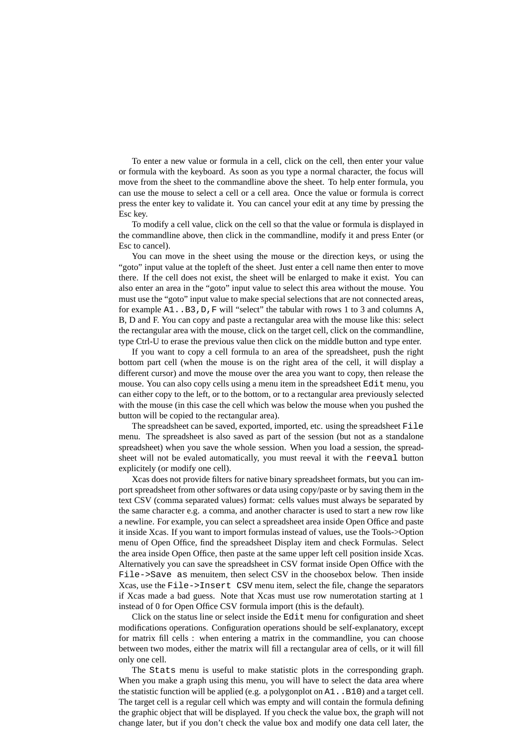To enter a new value or formula in a cell, click on the cell, then enter your value or formula with the keyboard. As soon as you type a normal character, the focus will move from the sheet to the commandline above the sheet. To help enter formula, you can use the mouse to select a cell or a cell area. Once the value or formula is correct press the enter key to validate it. You can cancel your edit at any time by pressing the Esc key.

To modify a cell value, click on the cell so that the value or formula is displayed in the commandline above, then click in the commandline, modify it and press Enter (or Esc to cancel).

You can move in the sheet using the mouse or the direction keys, or using the "goto" input value at the topleft of the sheet. Just enter a cell name then enter to move there. If the cell does not exist, the sheet will be enlarged to make it exist. You can also enter an area in the "goto" input value to select this area without the mouse. You must use the "goto" input value to make special selections that are not connected areas, for example A1..B3,D,F will "select" the tabular with rows 1 to 3 and columns A, B, D and F. You can copy and paste a rectangular area with the mouse like this: select the rectangular area with the mouse, click on the target cell, click on the commandline, type Ctrl-U to erase the previous value then click on the middle button and type enter.

If you want to copy a cell formula to an area of the spreadsheet, push the right bottom part cell (when the mouse is on the right area of the cell, it will display a different cursor) and move the mouse over the area you want to copy, then release the mouse. You can also copy cells using a menu item in the spreadsheet Edit menu, you can either copy to the left, or to the bottom, or to a rectangular area previously selected with the mouse (in this case the cell which was below the mouse when you pushed the button will be copied to the rectangular area).

The spreadsheet can be saved, exported, imported, etc. using the spreadsheet File menu. The spreadsheet is also saved as part of the session (but not as a standalone spreadsheet) when you save the whole session. When you load a session, the spreadsheet will not be evaled automatically, you must reeval it with the reeval button explicitely (or modify one cell).

Xcas does not provide filters for native binary spreadsheet formats, but you can import spreadsheet from other softwares or data using copy/paste or by saving them in the text CSV (comma separated values) format: cells values must always be separated by the same character e.g. a comma, and another character is used to start a new row like a newline. For example, you can select a spreadsheet area inside Open Office and paste it inside Xcas. If you want to import formulas instead of values, use the Tools->Option menu of Open Office, find the spreadsheet Display item and check Formulas. Select the area inside Open Office, then paste at the same upper left cell position inside Xcas. Alternatively you can save the spreadsheet in CSV format inside Open Office with the File->Save as menuitem, then select CSV in the choosebox below. Then inside Xcas, use the File->Insert CSV menu item, select the file, change the separators if Xcas made a bad guess. Note that Xcas must use row numerotation starting at 1 instead of 0 for Open Office CSV formula import (this is the default).

Click on the status line or select inside the Edit menu for configuration and sheet modifications operations. Configuration operations should be self-explanatory, except for matrix fill cells : when entering a matrix in the commandline, you can choose between two modes, either the matrix will fill a rectangular area of cells, or it will fill only one cell.

The Stats menu is useful to make statistic plots in the corresponding graph. When you make a graph using this menu, you will have to select the data area where the statistic function will be applied (e.g. a polygonplot on  $A1$ . B10) and a target cell. The target cell is a regular cell which was empty and will contain the formula defining the graphic object that will be displayed. If you check the value box, the graph will not change later, but if you don't check the value box and modify one data cell later, the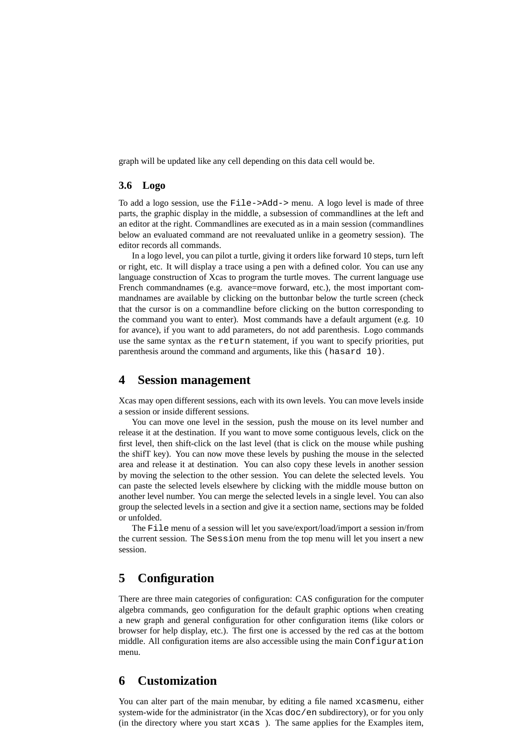graph will be updated like any cell depending on this data cell would be.

### **3.6 Logo**

To add a logo session, use the File->Add-> menu. A logo level is made of three parts, the graphic display in the middle, a subsession of commandlines at the left and an editor at the right. Commandlines are executed as in a main session (commandlines below an evaluated command are not reevaluated unlike in a geometry session). The editor records all commands.

In a logo level, you can pilot a turtle, giving it orders like forward 10 steps, turn left or right, etc. It will display a trace using a pen with a defined color. You can use any language construction of Xcas to program the turtle moves. The current language use French commandnames (e.g. avance=move forward, etc.), the most important commandnames are available by clicking on the buttonbar below the turtle screen (check that the cursor is on a commandline before clicking on the button corresponding to the command you want to enter). Most commands have a default argument (e.g. 10 for avance), if you want to add parameters, do not add parenthesis. Logo commands use the same syntax as the return statement, if you want to specify priorities, put parenthesis around the command and arguments, like this (hasard 10).

## **4 Session management**

Xcas may open different sessions, each with its own levels. You can move levels inside a session or inside different sessions.

You can move one level in the session, push the mouse on its level number and release it at the destination. If you want to move some contiguous levels, click on the first level, then shift-click on the last level (that is click on the mouse while pushing the shifT key). You can now move these levels by pushing the mouse in the selected area and release it at destination. You can also copy these levels in another session by moving the selection to the other session. You can delete the selected levels. You can paste the selected levels elsewhere by clicking with the middle mouse button on another level number. You can merge the selected levels in a single level. You can also group the selected levels in a section and give it a section name, sections may be folded or unfolded.

The File menu of a session will let you save/export/load/import a session in/from the current session. The Session menu from the top menu will let you insert a new session.

## **5 Configuration**

There are three main categories of configuration: CAS configuration for the computer algebra commands, geo configuration for the default graphic options when creating a new graph and general configuration for other configuration items (like colors or browser for help display, etc.). The first one is accessed by the red cas at the bottom middle. All configuration items are also accessible using the main Configuration menu.

## **6 Customization**

You can alter part of the main menubar, by editing a file named xcasmenu, either system-wide for the administrator (in the Xcas doc/en subdirectory), or for you only (in the directory where you start xcas ). The same applies for the Examples item,